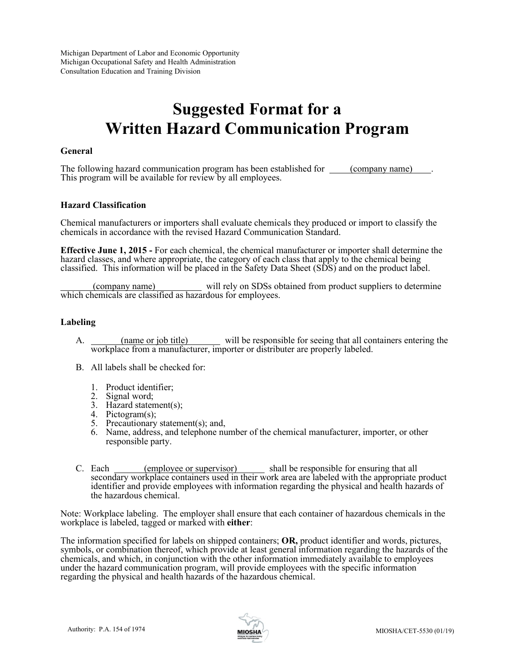Michigan Department of Labor and Economic Opportunity Michigan Occupational Safety and Health Administration Consultation Education and Training Division

# **Suggested Format for a Written Hazard Communication Program**

## **General**

The following hazard communication program has been established for (company name). This program will be available for review by all employees.

## **Hazard Classification**

Chemical manufacturers or importers shall evaluate chemicals they produced or import to classify the chemicals in accordance with the revised Hazard Communication Standard.

**Effective June 1, 2015 -** For each chemical, the chemical manufacturer or importer shall determine the hazard classes, and where appropriate, the category of each class that apply to the chemical being classified. This information will be placed in the Safety Data Sheet (SDS) and on the product label.

 (company name) will rely on SDSs obtained from product suppliers to determine which chemicals are classified as hazardous for employees.

## **Labeling**

- A. (name or job title) will be responsible for seeing that all containers entering the workplace from a manufacturer, importer or distributer are properly labeled.
- B. All labels shall be checked for:
	- 1. Product identifier;
	- 2. Signal word;
	- 3. Hazard statement(s);
	- 4. Pictogram(s);
	- 5. Precautionary statement(s); and,
	- 6. Name, address, and telephone number of the chemical manufacturer, importer, or other responsible party.
- C. Each <u>(employee or supervisor)</u> shall be responsible for ensuring that all secondary workplace containers used in their work area are labeled with the appropriate product identifier and provide employees with information regarding the physical and health hazards of the hazardous chemical.

Note: Workplace labeling. The employer shall ensure that each container of hazardous chemicals in the workplace is labeled, tagged or marked with **either**:

The information specified for labels on shipped containers; **OR,** product identifier and words, pictures, symbols, or combination thereof, which provide at least general information regarding the hazards of the chemicals, and which, in conjunction with the other information immediately available to employees under the hazard communication program, will provide employees with the specific information regarding the physical and health hazards of the hazardous chemical.

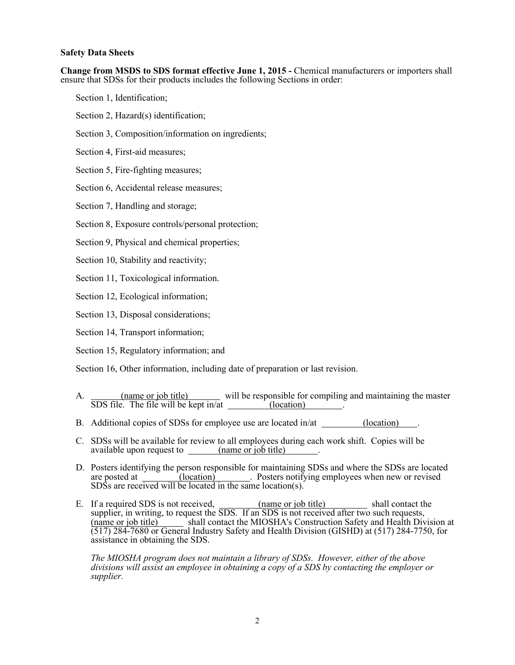## **Safety Data Sheets**

**Change from MSDS to SDS format effective June 1, 2015 -** Chemical manufacturers or importers shall ensure that SDSs for their products includes the following Sections in order:

- Section 1, Identification;
- Section 2, Hazard(s) identification;
- Section 3, Composition/information on ingredients;
- Section 4, First-aid measures;
- Section 5, Fire-fighting measures;
- Section 6, Accidental release measures;
- Section 7, Handling and storage;
- Section 8, Exposure controls/personal protection;
- Section 9, Physical and chemical properties;
- Section 10, Stability and reactivity;
- Section 11, Toxicological information.
- Section 12, Ecological information;
- Section 13, Disposal considerations;
- Section 14, Transport information;
- Section 15, Regulatory information; and

Section 16, Other information, including date of preparation or last revision.

- A. (name or job title) will be responsible for compiling and maintaining the master SDS file. The file will be kept in/at  $\frac{\log n}{n}$  (location)
- B. Additional copies of SDSs for employee use are located in/at \_\_\_\_\_\_\_\_(location)
- C. SDSs will be available for review to all employees during each work shift. Copies will be available upon request to (name or job title) .
- D. Posters identifying the person responsible for maintaining SDSs and where the SDSs are located are posted at  $\frac{1}{\sqrt{1-\frac{1}{\sqrt{1-\frac{1}{\sqrt{1-\frac{1}{\sqrt{1-\frac{1}{\sqrt{1-\frac{1}{\sqrt{1-\frac{1}{\sqrt{1-\frac{1}{\sqrt{1-\frac{1}{\sqrt{1-\frac{1}{\sqrt{1-\frac{1}{\sqrt{1-\frac{1}{\sqrt{1-\frac{1}{\sqrt{1-\frac{1}{\sqrt{1-\frac{1}{\sqrt{1-\frac{1}{\sqrt{1-\frac{1}{\sqrt{1-\frac{1}{\sqrt{1-\frac{1}{\sqrt{1-\frac{1}{\sqrt{1-\frac{1}{\sqrt{1-\frac{1}{\sqrt{1-\frac{1}{\sqrt{$ SDSs are received will be located in the same location(s).
- E. If a required SDS is not received, (name or job title) shall contact the supplier, in writing, to request the SDS. If an SDS is not received after two such requests, (name or job title) shall contact the MIOSHA's Construction Safety and Health Division at (517) 284-7680 or General Industry Safety and Health Division (GISHD) at (517) 284-7750, for assistance in obtaining the SDS.

*The MIOSHA program does not maintain a library of SDSs. However, either of the above divisions will assist an employee in obtaining a copy of a SDS by contacting the employer or supplier.*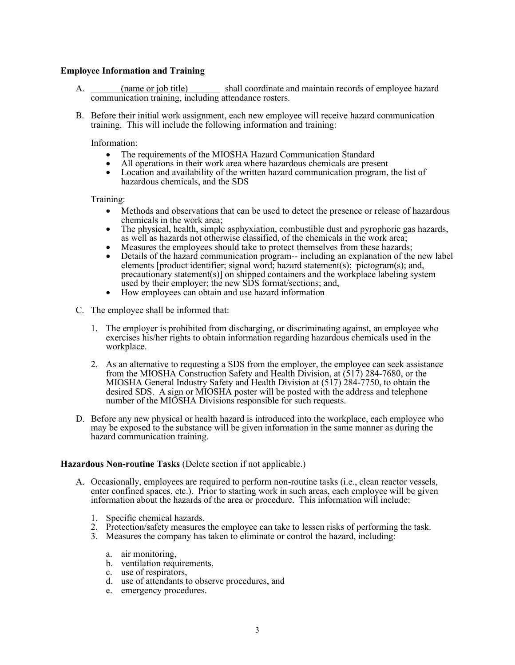## **Employee Information and Training**

- A. (name or job title) shall coordinate and maintain records of employee hazard communication training, including attendance rosters.
- B. Before their initial work assignment, each new employee will receive hazard communication training. This will include the following information and training:

Information:

- The requirements of the MIOSHA Hazard Communication Standard
- All operations in their work area where hazardous chemicals are present
- Location and availability of the written hazard communication program, the list of hazardous chemicals, and the SDS

Training:

- Methods and observations that can be used to detect the presence or release of hazardous chemicals in the work area;
- The physical, health, simple asphyxiation, combustible dust and pyrophoric gas hazards, as well as hazards not otherwise classified, of the chemicals in the work area;
- Measures the employees should take to protect themselves from these hazards;<br>• Details of the hazard communication program-- including an explanation of the
- Details of the hazard communication program-- including an explanation of the new label elements [product identifier; signal word; hazard statement(s); pictogram(s); and, precautionary statement(s)] on shipped containers and the workplace labeling system used by their employer; the new SDS format/sections; and,
- How employees can obtain and use hazard information
- C. The employee shall be informed that:
	- 1. The employer is prohibited from discharging, or discriminating against, an employee who exercises his/her rights to obtain information regarding hazardous chemicals used in the workplace.
	- 2. As an alternative to requesting a SDS from the employer, the employee can seek assistance from the MIOSHA Construction Safety and Health Division, at (517) 284-7680, or the MIOSHA General Industry Safety and Health Division at (517) 284-7750, to obtain the desired SDS. A sign or MIOSHA poster will be posted with the address and telephone number of the MIOSHA Divisions responsible for such requests.
- D. Before any new physical or health hazard is introduced into the workplace, each employee who may be exposed to the substance will be given information in the same manner as during the hazard communication training.

#### **Hazardous Non-routine Tasks** (Delete section if not applicable.)

- A. Occasionally, employees are required to perform non-routine tasks (i.e., clean reactor vessels, enter confined spaces, etc.). Prior to starting work in such areas, each employee will be given information about the hazards of the area or procedure. This information will include:
	- 1. Specific chemical hazards.
	- 2. Protection/safety measures the employee can take to lessen risks of performing the task.
	- 3. Measures the company has taken to eliminate or control the hazard, including:
		- a. air monitoring,
		- b. ventilation requirements,
		- c. use of respirators,
		- d. use of attendants to observe procedures, and
		- e. emergency procedures.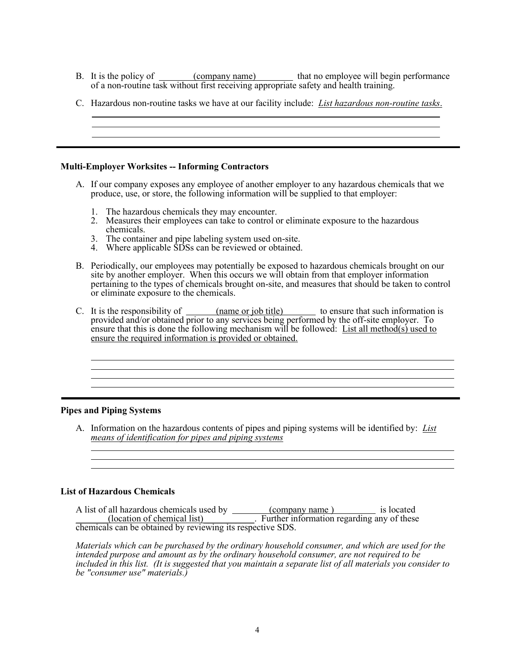B. It is the policy of <u>company name</u> that no employee will begin performance of a non-routine task without first receiving appropriate safety and health training.

|  | C. Hazardous non-routine tasks we have at our facility include: <i>List hazardous non-routine tasks</i> . |  |  |  |  |
|--|-----------------------------------------------------------------------------------------------------------|--|--|--|--|
|--|-----------------------------------------------------------------------------------------------------------|--|--|--|--|

## **Multi-Employer Worksites -- Informing Contractors**

- A. If our company exposes any employee of another employer to any hazardous chemicals that we produce, use, or store, the following information will be supplied to that employer:
	- 1. The hazardous chemicals they may encounter.
	- 2. Measures their employees can take to control or eliminate exposure to the hazardous chemicals.
	- 3. The container and pipe labeling system used on-site.
	- 4. Where applicable SDSs can be reviewed or obtained.
- B. Periodically, our employees may potentially be exposed to hazardous chemicals brought on our site by another employer. When this occurs we will obtain from that employer information pertaining to the types of chemicals brought on-site, and measures that should be taken to control or eliminate exposure to the chemicals.
- C. It is the responsibility of  $\frac{1}{\text{name or job title}}$  to ensure that such information is provided and/or obtained prior to any services being performed by the off-site employer. To ensure that this is done the following mechanism will be followed: List all method(s) used to ensure the required information is provided or obtained.

<u> 1989 - Johann Stoff, deutscher Stoffen und der Stoffen und der Stoffen und der Stoffen und der Stoffen und de</u>

## **Pipes and Piping Systems**

l l l

l l

A. Information on the hazardous contents of pipes and piping systems will be identified by: *List means of identification for pipes and piping systems*  l

## **List of Hazardous Chemicals**

A list of all hazardous chemicals used by (company name ) is located \_\_\_\_\_\_\_(location of chemical list)\_\_\_\_\_\_\_\_\_\_\_. Further information regarding any of these chemicals can be obtained by reviewing its respective SDS.

*Materials which can be purchased by the ordinary household consumer, and which are used for the intended purpose and amount as by the ordinary household consumer, are not required to be included in this list. (It is suggested that you maintain a separate list of all materials you consider to be "consumer use" materials.)*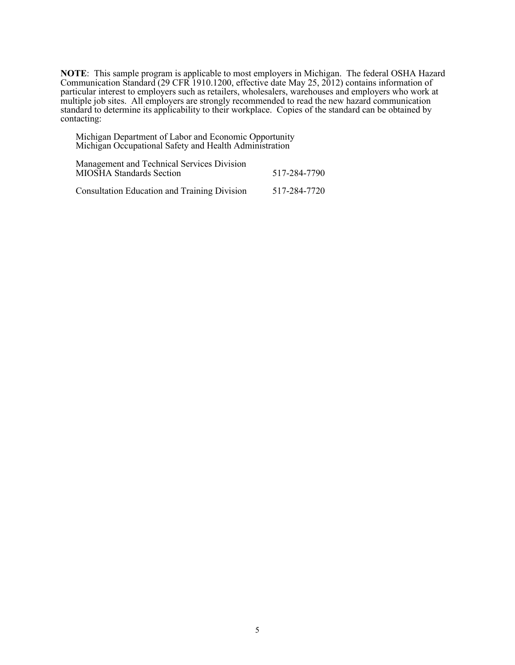**NOTE**: This sample program is applicable to most employers in Michigan. The federal OSHA Hazard Communication Standard (29 CFR 1910.1200, effective date May 25, 2012) contains information of particular interest to employers such as retailers, wholesalers, warehouses and employers who work at multiple job sites. All employers are strongly recommended to read the new hazard communication standard to determine its applicability to their workplace. Copies of the standard can be obtained by contacting:

Michigan Department of Labor and Economic Opportunity Michigan Occupational Safety and Health Administration

Management and Technical Services Division MIOSHA Standards Section 517-284-7790

Consultation Education and Training Division 517-284-7720